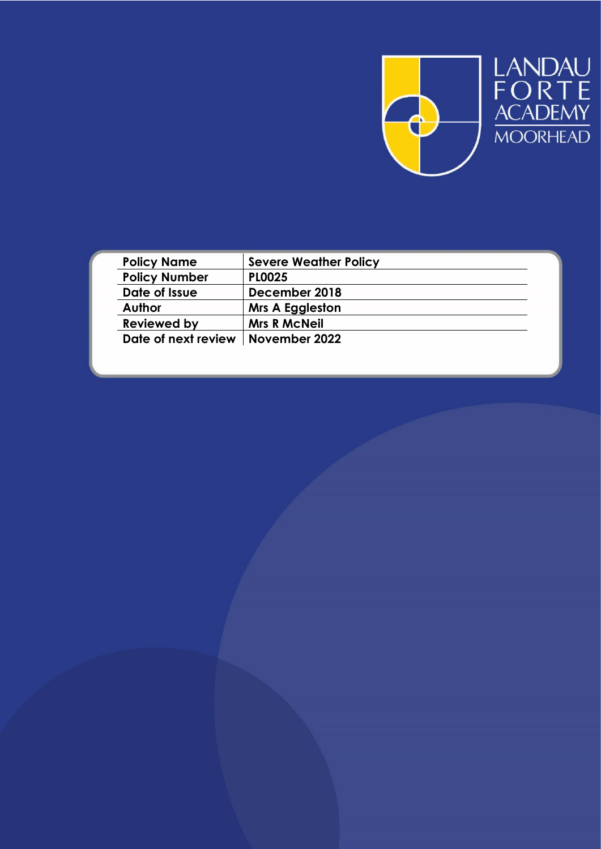

LANDAU<br>FORTE<br>ACADEMY<br>MOORHEAD

| <b>Policy Name</b>                  | <b>Severe Weather Policy</b> |
|-------------------------------------|------------------------------|
| <b>Policy Number</b>                | <b>PLOO25</b>                |
| Date of Issue                       | December 2018                |
| Author                              | <b>Mrs A Eggleston</b>       |
| <b>Reviewed by</b>                  | <b>Mrs R McNeil</b>          |
| Date of next review   November 2022 |                              |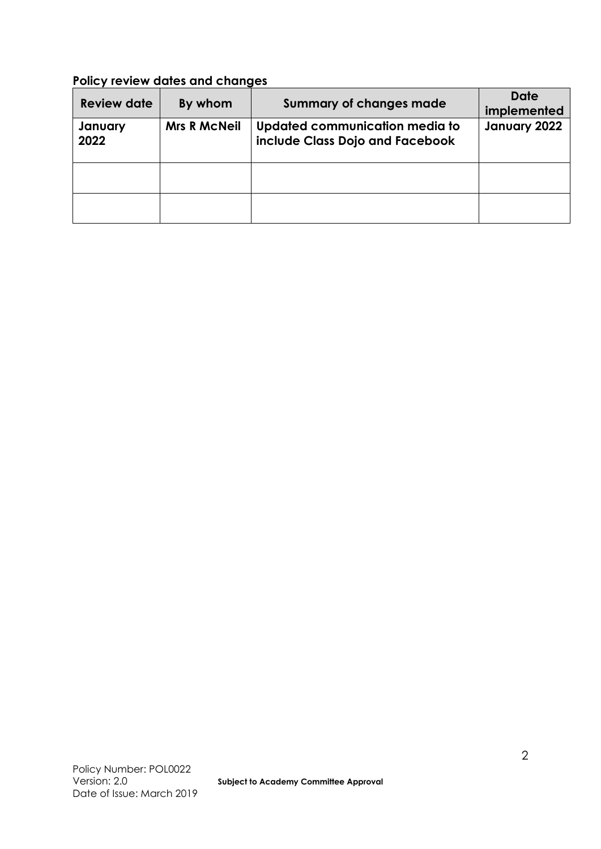# **Policy review dates and changes**

| <b>Review date</b> | By whom             | <b>Summary of changes made</b>                                    | <b>Date</b><br>implemented |
|--------------------|---------------------|-------------------------------------------------------------------|----------------------------|
| January<br>2022    | <b>Mrs R McNeil</b> | Updated communication media to<br>include Class Dojo and Facebook | January 2022               |
|                    |                     |                                                                   |                            |
|                    |                     |                                                                   |                            |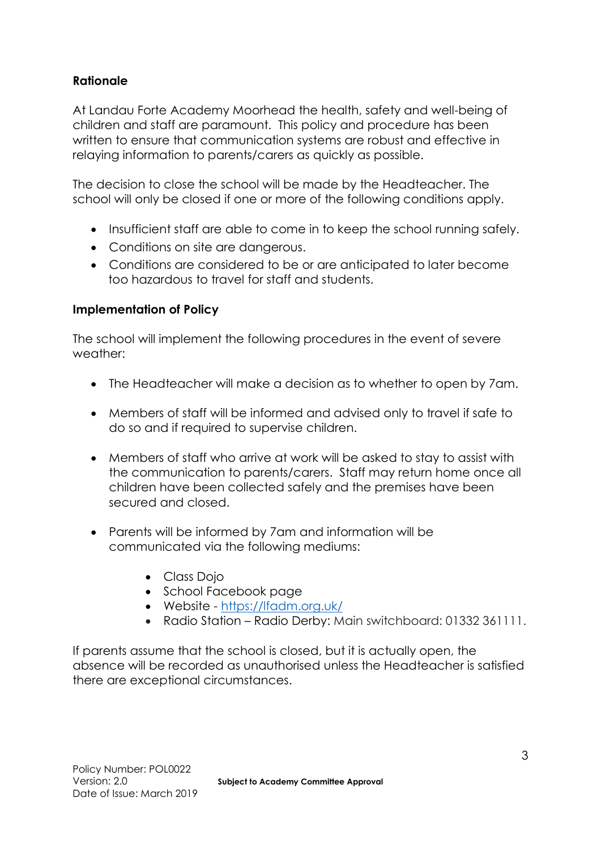# **Rationale**

At Landau Forte Academy Moorhead the health, safety and well-being of children and staff are paramount. This policy and procedure has been written to ensure that communication systems are robust and effective in relaying information to parents/carers as quickly as possible.

The decision to close the school will be made by the Headteacher. The school will only be closed if one or more of the following conditions apply.

- Insufficient staff are able to come in to keep the school running safely.
- Conditions on site are dangerous.
- Conditions are considered to be or are anticipated to later become too hazardous to travel for staff and students.

# **Implementation of Policy**

The school will implement the following procedures in the event of severe weather:

- The Headteacher will make a decision as to whether to open by 7am.
- Members of staff will be informed and advised only to travel if safe to do so and if required to supervise children.
- Members of staff who arrive at work will be asked to stay to assist with the communication to parents/carers. Staff may return home once all children have been collected safely and the premises have been secured and closed.
- Parents will be informed by 7am and information will be communicated via the following mediums:
	- Class Dojo
	- School Facebook page
	- Website <https://lfadm.org.uk/>
	- Radio Station Radio Derby: Main switchboard: 01332 361111.

If parents assume that the school is closed, but it is actually open, the absence will be recorded as unauthorised unless the Headteacher is satisfied there are exceptional circumstances.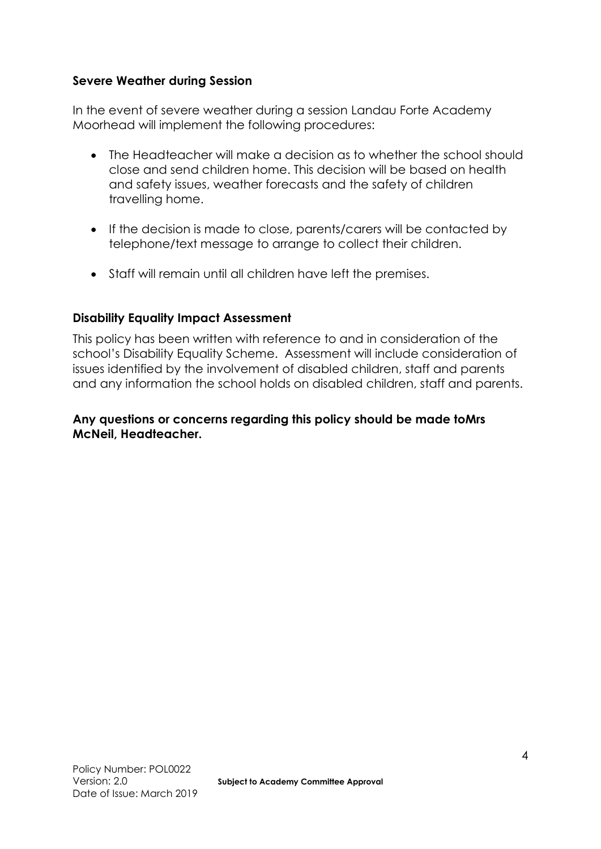### **Severe Weather during Session**

In the event of severe weather during a session Landau Forte Academy Moorhead will implement the following procedures:

- The Headteacher will make a decision as to whether the school should close and send children home. This decision will be based on health and safety issues, weather forecasts and the safety of children travelling home.
- If the decision is made to close, parents/carers will be contacted by telephone/text message to arrange to collect their children.
- Staff will remain until all children have left the premises.

### **Disability Equality Impact Assessment**

This policy has been written with reference to and in consideration of the school's Disability Equality Scheme. Assessment will include consideration of issues identified by the involvement of disabled children, staff and parents and any information the school holds on disabled children, staff and parents.

#### **Any questions or concerns regarding this policy should be made toMrs McNeil, Headteacher.**